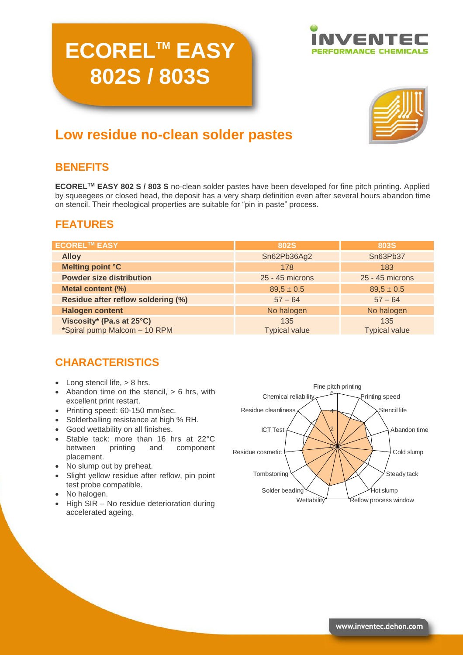# **ECORELTM EASY 802S / 803S**





# **Low residue no-clean solder pastes**

# **BENEFITS**

**ECORELTM EASY 802 S / 803 S** no-clean solder pastes have been developed for fine pitch printing. Applied by squeegees or closed head, the deposit has a very sharp definition even after several hours abandon time on stencil. Their rheological properties are suitable for "pin in paste" process.

# **FEATURES**

| <b>ECOREL™ EASY</b>                                       | <b>802S</b>                 | <b>803S</b>                 |
|-----------------------------------------------------------|-----------------------------|-----------------------------|
| <b>Alloy</b>                                              | Sn62Pb36Ag2                 | Sn63Pb37                    |
| Melting point °C                                          | 178                         | 183                         |
| <b>Powder size distribution</b>                           | 25 - 45 microns             | 25 - 45 microns             |
| Metal content (%)                                         | $89,5 \pm 0.5$              | $89.5 \pm 0.5$              |
| Residue after reflow soldering (%)                        | $57 - 64$                   | $57 - 64$                   |
| <b>Halogen content</b>                                    | No halogen                  | No halogen                  |
| Viscosity* (Pa.s at 25°C)<br>*Spiral pump Malcom - 10 RPM | 135<br><b>Typical value</b> | 135<br><b>Typical value</b> |

# **CHARACTERISTICS**

- $\bullet$  Long stencil life,  $> 8$  hrs.
- $\bullet$  Abandon time on the stencil,  $> 6$  hrs, with excellent print restart.
- Printing speed: 60-150 mm/sec.
- Solderballing resistance at high % RH.
- Good wettability on all finishes.
- Stable tack: more than 16 hrs at 22°C between printing and component placement.
- No slump out by preheat.
- Slight yellow residue after reflow, pin point test probe compatible.
- No halogen.
- High SIR No residue deterioration during accelerated ageing.

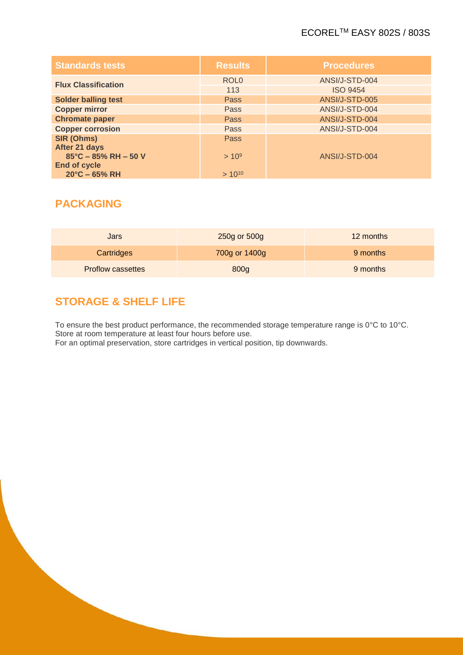## ECORELTM EASY 802S / 803S

| <b>Standards tests</b>     | <b>Results</b>   | <b>Procedures</b> |
|----------------------------|------------------|-------------------|
| <b>Flux Classification</b> | ROL <sub>0</sub> | ANSI/J-STD-004    |
|                            | 113              | <b>ISO 9454</b>   |
| <b>Solder balling test</b> | <b>Pass</b>      | ANSI/J-STD-005    |
| <b>Copper mirror</b>       | Pass             | ANSI/J-STD-004    |
| <b>Chromate paper</b>      | <b>Pass</b>      | ANSI/J-STD-004    |
| <b>Copper corrosion</b>    | Pass             | ANSI/J-STD-004    |
| SIR (Ohms)                 | <b>Pass</b>      |                   |
| After 21 days              |                  |                   |
| 85°C - 85% RH - 50 V       | $> 10^9$         | ANSI/J-STD-004    |
| <b>End of cycle</b>        |                  |                   |
| $20^{\circ}$ C – 65% RH    | $> 10^{10}$      |                   |

# **PACKAGING**

| Jars                     | 250g or 500g  | 12 months |
|--------------------------|---------------|-----------|
| Cartridges               | 700g or 1400g | 9 months  |
| <b>Proflow cassettes</b> | 800g          | 9 months  |

# **STORAGE & SHELF LIFE**

To ensure the best product performance, the recommended storage temperature range is 0°C to 10°C. Store at room temperature at least four hours before use. For an optimal preservation, store cartridges in vertical position, tip downwards.